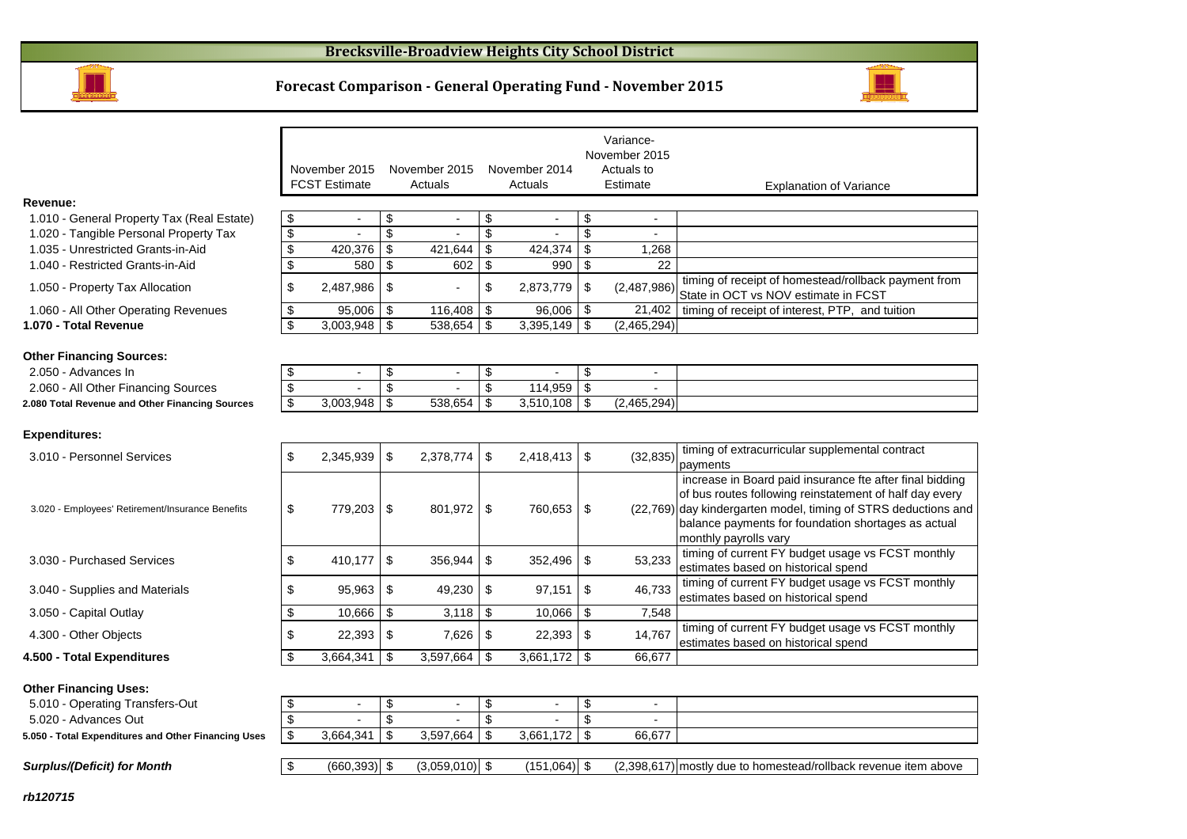

#### **Forecast Comparison - General Operating Fund - November 2015**



|                                                                                        |          |                                       |                         |                          |                               |                          |            | Variance-                |                                                                                                                                                                                                                                                                       |
|----------------------------------------------------------------------------------------|----------|---------------------------------------|-------------------------|--------------------------|-------------------------------|--------------------------|------------|--------------------------|-----------------------------------------------------------------------------------------------------------------------------------------------------------------------------------------------------------------------------------------------------------------------|
|                                                                                        |          |                                       |                         |                          |                               |                          |            | November 2015            |                                                                                                                                                                                                                                                                       |
|                                                                                        |          | November 2015<br><b>FCST Estimate</b> |                         | November 2015<br>Actuals |                               | November 2014<br>Actuals |            | Actuals to<br>Estimate   | <b>Explanation of Variance</b>                                                                                                                                                                                                                                        |
| Revenue:                                                                               |          |                                       |                         |                          |                               |                          |            |                          |                                                                                                                                                                                                                                                                       |
| 1.010 - General Property Tax (Real Estate)                                             | \$       | $\blacksquare$                        | \$                      | $\blacksquare$           | \$                            | $\overline{\phantom{a}}$ | \$         | $\blacksquare$           |                                                                                                                                                                                                                                                                       |
| 1.020 - Tangible Personal Property Tax                                                 | \$       |                                       | \$                      |                          | \$                            |                          | \$         |                          |                                                                                                                                                                                                                                                                       |
| 1.035 - Unrestricted Grants-in-Aid                                                     | \$       | 420,376                               | $\overline{\mathbf{s}}$ | 421,644                  | \$                            | 424,374                  | \$         | 1,268                    |                                                                                                                                                                                                                                                                       |
| 1.040 - Restricted Grants-in-Aid                                                       | \$       | 580                                   | \$                      | 602                      | \$                            | 990                      | -\$        | 22                       |                                                                                                                                                                                                                                                                       |
| 1.050 - Property Tax Allocation                                                        | \$       | 2,487,986                             | \$                      |                          | \$                            | 2,873,779                | \$         | (2,487,986)              | timing of receipt of homestead/rollback payment from<br>State in OCT vs NOV estimate in FCST                                                                                                                                                                          |
| 1.060 - All Other Operating Revenues                                                   | \$       | 95,006                                | \$                      | 116,408                  | \$                            | 96,006                   | <b>\$</b>  | 21,402                   | timing of receipt of interest, PTP, and tuition                                                                                                                                                                                                                       |
| 1.070 - Total Revenue                                                                  | \$       | 3,003,948                             | \$                      | 538,654                  | \$                            | 3,395,149                | l \$       | (2,465,294)              |                                                                                                                                                                                                                                                                       |
|                                                                                        |          |                                       |                         |                          |                               |                          |            |                          |                                                                                                                                                                                                                                                                       |
| <b>Other Financing Sources:</b>                                                        |          |                                       |                         |                          |                               |                          |            |                          |                                                                                                                                                                                                                                                                       |
| 2.050 - Advances In                                                                    | \$       | $\overline{\phantom{a}}$              | \$<br>\$                | $\blacksquare$           | \$<br>$\overline{\mathbf{S}}$ |                          | \$<br>\$   | $\blacksquare$           |                                                                                                                                                                                                                                                                       |
| 2.060 - All Other Financing Sources<br>2.080 Total Revenue and Other Financing Sources | \$<br>\$ | 3,003,948                             | \$                      | 538,654                  | \$                            | 114,959<br>3,510,108     | \$         | (2,465,294)              |                                                                                                                                                                                                                                                                       |
|                                                                                        |          |                                       |                         |                          |                               |                          |            |                          |                                                                                                                                                                                                                                                                       |
| <b>Expenditures:</b>                                                                   |          |                                       |                         |                          |                               |                          |            |                          |                                                                                                                                                                                                                                                                       |
| 3.010 - Personnel Services                                                             | \$       | 2,345,939                             | \$                      | 2,378,774                | \$                            | 2,418,413                | $\sqrt{3}$ | (32, 835)                | timing of extracurricular supplemental contract<br>payments                                                                                                                                                                                                           |
| 3.020 - Employees' Retirement/Insurance Benefits                                       | \$       | 779,203                               | \$                      | 801,972                  | \$                            | 760,653                  | $\sqrt{3}$ |                          | increase in Board paid insurance fte after final bidding<br>of bus routes following reinstatement of half day every<br>(22,769) day kindergarten model, timing of STRS deductions and<br>balance payments for foundation shortages as actual<br>monthly payrolls vary |
| 3.030 - Purchased Services                                                             | \$       | 410,177                               | \$                      | 356,944                  | \$                            | 352,496                  | \$         | 53,233                   | timing of current FY budget usage vs FCST monthly<br>estimates based on historical spend                                                                                                                                                                              |
| 3.040 - Supplies and Materials                                                         | \$       | 95,963                                | \$                      | 49,230                   | \$                            | 97,151                   | \$         | 46,733                   | timing of current FY budget usage vs FCST monthly<br>estimates based on historical spend                                                                                                                                                                              |
| 3.050 - Capital Outlay                                                                 | \$       | 10,666                                | \$                      | 3,118                    | \$                            | 10,066                   | \$         | 7,548                    |                                                                                                                                                                                                                                                                       |
| 4.300 - Other Objects                                                                  | \$       | 22,393                                | \$                      | 7,626                    | \$                            | 22,393                   | \$         | 14,767                   | timing of current FY budget usage vs FCST monthly<br>estimates based on historical spend                                                                                                                                                                              |
| 4.500 - Total Expenditures                                                             | \$       | 3,664,341                             | \$                      | 3,597,664                | \$                            | 3,661,172                | \$         | 66,677                   |                                                                                                                                                                                                                                                                       |
| <b>Other Financing Uses:</b>                                                           |          |                                       |                         |                          |                               |                          |            |                          |                                                                                                                                                                                                                                                                       |
| 5.010 - Operating Transfers-Out                                                        | \$       | $\blacksquare$                        | \$                      | $\overline{\phantom{a}}$ | \$                            |                          | \$         | $\overline{\phantom{a}}$ |                                                                                                                                                                                                                                                                       |
| 5.020 - Advances Out                                                                   | \$       |                                       | \$                      |                          | \$                            |                          | \$         |                          |                                                                                                                                                                                                                                                                       |
| 5.050 - Total Expenditures and Other Financing Uses                                    | \$       | 3,664,341                             | $\overline{\mathbf{s}}$ | 3,597,664                | $\overline{\mathbf{e}}$       | 3,661,172                | \$         | 66,677                   |                                                                                                                                                                                                                                                                       |

**Surplus/(Deficit) for Month**

 $\boxed{\$ \qquad \text{(660,393)} \$ \qquad \text{(3,059,010)} \$ \qquad \text{(151,064)} \$ \qquad \text{(2,398,617)}$  mostly due to homestead/rollback revenue item above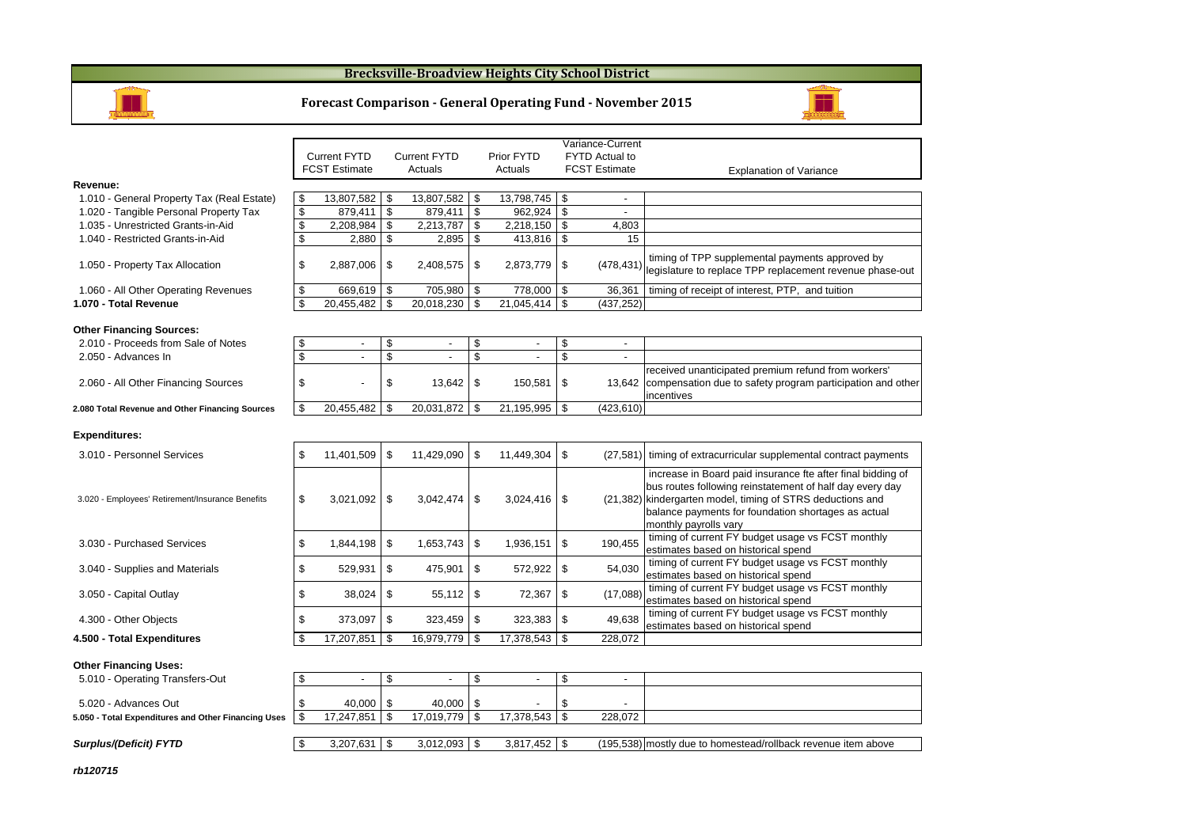### **Brecksville-Broadview Heights City School District**



#### **Forecast Comparison - General Operating Fund - November 2015**



|                                                                        |               |                          |            |                          |      |                | Variance-Current               |                                                                                                                                                                                                                                                                       |
|------------------------------------------------------------------------|---------------|--------------------------|------------|--------------------------|------|----------------|--------------------------------|-----------------------------------------------------------------------------------------------------------------------------------------------------------------------------------------------------------------------------------------------------------------------|
|                                                                        |               | <b>Current FYTD</b>      |            | <b>Current FYTD</b>      |      | Prior FYTD     | <b>FYTD Actual to</b>          |                                                                                                                                                                                                                                                                       |
|                                                                        |               | <b>FCST Estimate</b>     |            | Actuals                  |      | Actuals        | <b>FCST Estimate</b>           | <b>Explanation of Variance</b>                                                                                                                                                                                                                                        |
| Revenue:                                                               |               |                          |            |                          |      |                |                                |                                                                                                                                                                                                                                                                       |
| 1.010 - General Property Tax (Real Estate)                             | \$            | 13,807,582 \$            |            | 13,807,582 \$            |      | 13,798,745     | \$<br>$\overline{a}$           |                                                                                                                                                                                                                                                                       |
| 1.020 - Tangible Personal Property Tax                                 | \$            | 879,411                  | $\sqrt{3}$ | $879,411$ \$             |      | 962,924        | \$                             |                                                                                                                                                                                                                                                                       |
| 1.035 - Unrestricted Grants-in-Aid                                     | \$            | 2,208,984                | \$         | 2,213,787                | \$   | 2,218,150      | \$<br>4,803                    |                                                                                                                                                                                                                                                                       |
| 1.040 - Restricted Grants-in-Aid                                       | \$            | 2,880                    | \$         | 2,895                    | \$   | 413,816        | \$<br>15                       |                                                                                                                                                                                                                                                                       |
| 1.050 - Property Tax Allocation                                        | \$            | $2,887,006$ \ \$         |            | 2,408,575                | \$   | 2,873,779      | \$<br>(478, 431)               | timing of TPP supplemental payments approved by<br>legislature to replace TPP replacement revenue phase-out                                                                                                                                                           |
| 1.060 - All Other Operating Revenues                                   | \$            | 669,619                  | -\$        | 705,980                  | l \$ | 778,000        | \$<br>36,361                   | timing of receipt of interest, PTP, and tuition                                                                                                                                                                                                                       |
| 1.070 - Total Revenue                                                  | \$            | 20,455,482               | \$         | 20,018,230               | \$   | 21,045,414     | \$<br>(437, 252)               |                                                                                                                                                                                                                                                                       |
| <b>Other Financing Sources:</b><br>2.010 - Proceeds from Sale of Notes | \$            | $\overline{\phantom{a}}$ | \$         | $\overline{\phantom{a}}$ | \$   | $\blacksquare$ | \$<br>$\overline{\phantom{a}}$ |                                                                                                                                                                                                                                                                       |
| 2.050 - Advances In                                                    | \$            | $\overline{a}$           | \$         |                          | \$   |                | \$<br>$\overline{\phantom{a}}$ |                                                                                                                                                                                                                                                                       |
| 2.060 - All Other Financing Sources                                    | \$            |                          | \$         | 13,642                   | \$   | 150,581        | \$<br>13,642                   | received unanticipated premium refund from workers'<br>compensation due to safety program participation and other<br>incentives                                                                                                                                       |
| 2.080 Total Revenue and Other Financing Sources                        | \$            | 20,455,482               | \$         | 20,031,872 \$            |      | 21,195,995     | \$<br>(423, 610)               |                                                                                                                                                                                                                                                                       |
| <b>Expenditures:</b>                                                   |               |                          |            |                          |      |                |                                |                                                                                                                                                                                                                                                                       |
| 3.010 - Personnel Services                                             | \$            | 11,401,509 \$            |            | 11,429,090               | \$   | 11.449.304     | \$                             | (27,581) timing of extracurricular supplemental contract payments                                                                                                                                                                                                     |
| 3.020 - Employees' Retirement/Insurance Benefits                       | \$            | $3,021,092$ \$           |            | 3,042,474                | \$   | 3,024,416      | \$                             | increase in Board paid insurance fte after final bidding of<br>bus routes following reinstatement of half day every day<br>(21,382) kindergarten model, timing of STRS deductions and<br>balance payments for foundation shortages as actual<br>monthly payrolls vary |
| 3.030 - Purchased Services                                             | \$            | 1,844,198                | \$         | 1,653,743                | \$   | 1.936.151      | \$<br>190,455                  | timing of current FY budget usage vs FCST monthly<br>estimates based on historical spend                                                                                                                                                                              |
| 3.040 - Supplies and Materials                                         | \$            | 529,931                  | \$         | 475,901                  | \$   | 572,922        | \$<br>54,030                   | timing of current FY budget usage vs FCST monthly<br>estimates based on historical spend                                                                                                                                                                              |
| 3.050 - Capital Outlay                                                 | \$            | 38,024                   | \$         | 55,112                   | \$   | 72,367         | \$<br>(17,088)                 | timing of current FY budget usage vs FCST monthly<br>estimates based on historical spend                                                                                                                                                                              |
| 4.300 - Other Objects                                                  | \$            | 373,097                  | \$         | 323,459                  | \$   | 323,383        | \$<br>49,638                   | timing of current FY budget usage vs FCST monthly<br>estimates based on historical spend                                                                                                                                                                              |
| 4.500 - Total Expenditures                                             | <sup>\$</sup> | 17,207,851               | \$         | 16,979,779 \$            |      | 17,378,543     | \$<br>228,072                  |                                                                                                                                                                                                                                                                       |
|                                                                        |               |                          |            |                          |      |                |                                |                                                                                                                                                                                                                                                                       |
| <b>Other Financing Uses:</b>                                           |               |                          |            |                          |      |                |                                |                                                                                                                                                                                                                                                                       |
| 5.010 - Operating Transfers-Out                                        | \$            | $\blacksquare$           | \$         | $\overline{\phantom{a}}$ | \$   | $\blacksquare$ | \$<br>$\blacksquare$           |                                                                                                                                                                                                                                                                       |
|                                                                        |               |                          |            |                          |      |                |                                |                                                                                                                                                                                                                                                                       |
| 5.020 - Advances Out                                                   | \$            | $40,000$ \ \$            |            | 40,000 \$                |      |                | \$                             |                                                                                                                                                                                                                                                                       |
| 5.050 - Total Expenditures and Other Financing Uses                    | \$            | 17,247,851               | \$         | $17,019,779$ \$          |      | 17,378,543     | \$<br>228,072                  |                                                                                                                                                                                                                                                                       |
|                                                                        |               |                          |            |                          |      |                |                                |                                                                                                                                                                                                                                                                       |
| Surplus/(Deficit) FYTD                                                 | \$            | $3,207,631$ \$           |            | $3,012,093$ \$           |      | $3,817,452$ \$ |                                | (195,538) mostly due to homestead/rollback revenue item above                                                                                                                                                                                                         |

**rb120715**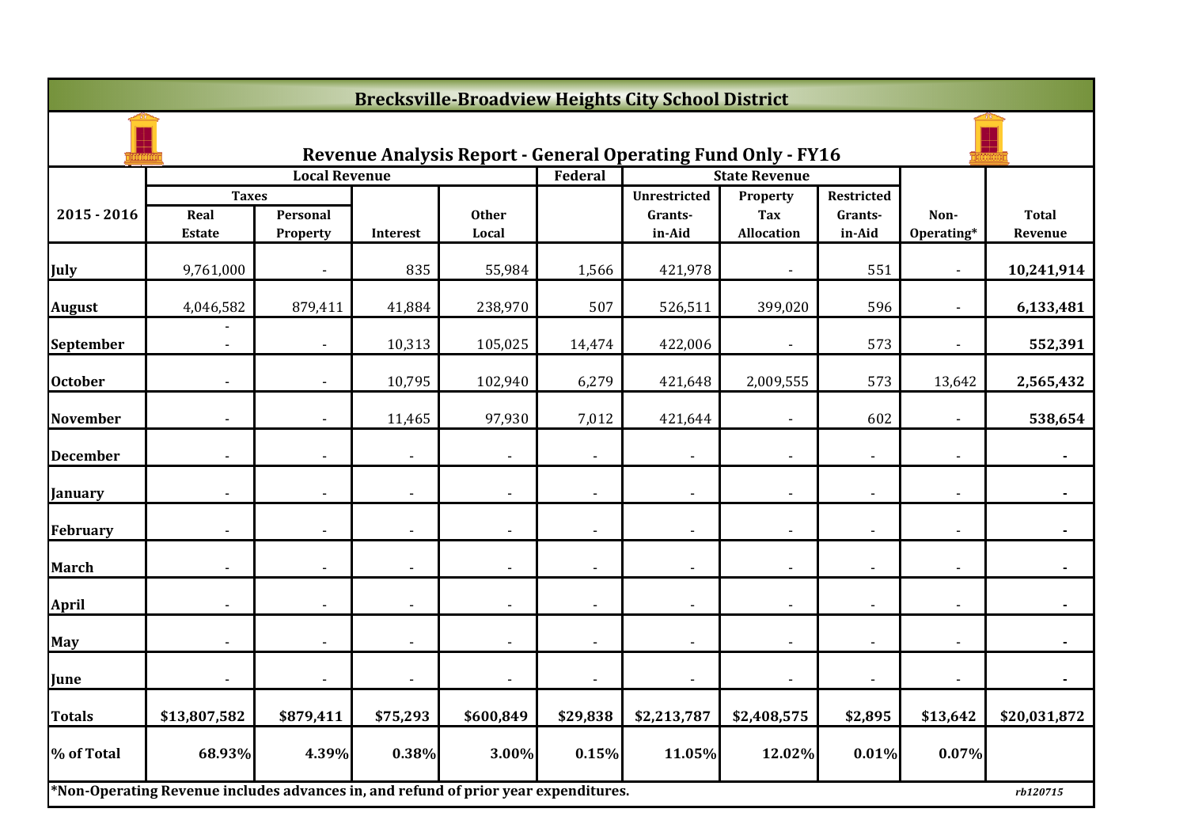|                 | <b>Brecksville-Broadview Heights City School District</b>                           |                      |                |                |                |                                                                     |                        |                       |                          |                |  |  |
|-----------------|-------------------------------------------------------------------------------------|----------------------|----------------|----------------|----------------|---------------------------------------------------------------------|------------------------|-----------------------|--------------------------|----------------|--|--|
|                 |                                                                                     |                      |                |                |                | <b>Revenue Analysis Report - General Operating Fund Only - FY16</b> |                        |                       |                          |                |  |  |
|                 |                                                                                     | <b>Local Revenue</b> |                |                | Federal        |                                                                     | <b>State Revenue</b>   |                       |                          |                |  |  |
| $2015 - 2016$   | <b>Taxes</b><br>Real                                                                | Personal             |                | <b>Other</b>   |                | <b>Unrestricted</b><br>Grants-                                      | Property<br><b>Tax</b> | Restricted<br>Grants- | Non-                     | <b>Total</b>   |  |  |
|                 | <b>Estate</b>                                                                       | Property             | Interest       | Local          |                | in-Aid                                                              | <b>Allocation</b>      | in-Aid                | Operating*               | Revenue        |  |  |
| July            | 9,761,000                                                                           |                      | 835            | 55,984         | 1,566          | 421,978                                                             |                        | 551                   |                          | 10,241,914     |  |  |
| <b>August</b>   | 4,046,582                                                                           | 879,411              | 41,884         | 238,970        | 507            | 526,511                                                             | 399,020                | 596                   |                          | 6,133,481      |  |  |
| September       | $\blacksquare$                                                                      | $\sim$               | 10,313         | 105,025        | 14,474         | 422,006                                                             | $\blacksquare$         | 573                   | $\overline{\phantom{a}}$ | 552,391        |  |  |
| <b>October</b>  |                                                                                     |                      | 10,795         | 102,940        | 6,279          | 421,648                                                             | 2,009,555              | 573                   | 13,642                   | 2,565,432      |  |  |
| <b>November</b> |                                                                                     |                      | 11,465         | 97,930         | 7,012          | 421,644                                                             |                        | 602                   |                          | 538,654        |  |  |
| <b>December</b> |                                                                                     |                      |                |                |                |                                                                     |                        |                       |                          |                |  |  |
| <b>January</b>  |                                                                                     |                      |                |                |                |                                                                     |                        |                       |                          |                |  |  |
| February        | $\blacksquare$                                                                      | $\blacksquare$       | $\blacksquare$ | $\blacksquare$ | $\blacksquare$ | $\overline{\phantom{a}}$                                            | $\blacksquare$         | $\blacksquare$        | $\blacksquare$           | $\blacksquare$ |  |  |
| <b>March</b>    |                                                                                     |                      |                |                |                | $\blacksquare$                                                      |                        |                       |                          |                |  |  |
| <b>April</b>    |                                                                                     |                      | $\overline{a}$ |                |                | $\overline{\phantom{a}}$                                            |                        |                       |                          |                |  |  |
| <b>May</b>      |                                                                                     |                      |                |                |                | $\blacksquare$                                                      |                        |                       |                          |                |  |  |
| June            |                                                                                     |                      | $\blacksquare$ |                |                | $\blacksquare$                                                      |                        |                       |                          |                |  |  |
| Totals          | \$13,807,582                                                                        | \$879,411            | \$75,293       | \$600,849      | \$29,838       | \$2,213,787                                                         | \$2,408,575            | \$2,895               | \$13,642                 | \$20,031,872   |  |  |
| % of Total      | 68.93%                                                                              | 4.39%                | 0.38%          | 3.00%          | 0.15%          | 11.05%                                                              | 12.02%                 | 0.01%                 | 0.07%                    |                |  |  |
|                 | *Non-Operating Revenue includes advances in, and refund of prior year expenditures. |                      |                |                |                |                                                                     |                        |                       |                          | rb120715       |  |  |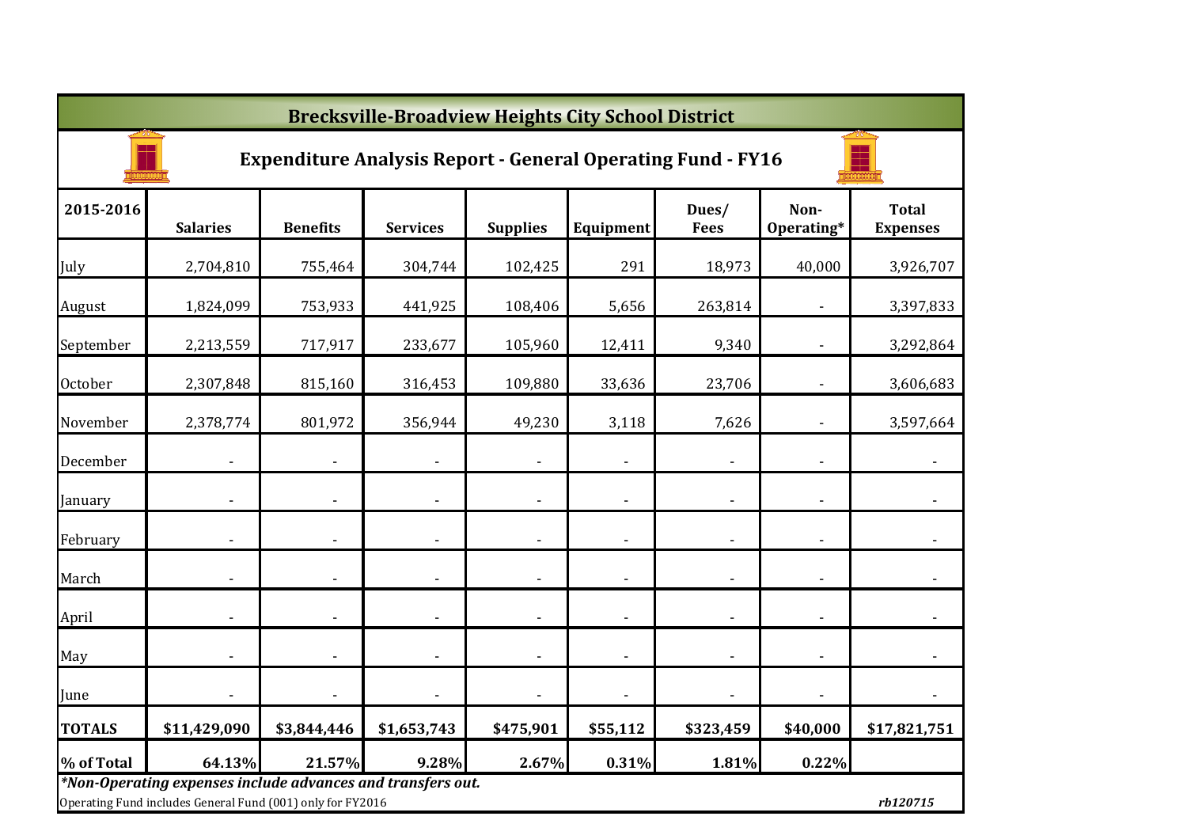|                | <b>Brecksville-Broadview Heights City School District</b>                                                                 |                          |                              |                          |                          |                      |                          |                                 |  |  |  |  |
|----------------|---------------------------------------------------------------------------------------------------------------------------|--------------------------|------------------------------|--------------------------|--------------------------|----------------------|--------------------------|---------------------------------|--|--|--|--|
|                | <b>Expenditure Analysis Report - General Operating Fund - FY16</b>                                                        |                          |                              |                          |                          |                      |                          |                                 |  |  |  |  |
| 2015-2016      | <b>Salaries</b>                                                                                                           | <b>Benefits</b>          | <b>Services</b>              | <b>Supplies</b>          | Equipment                | Dues/<br><b>Fees</b> | Non-<br>Operating*       | <b>Total</b><br><b>Expenses</b> |  |  |  |  |
| July           | 2,704,810                                                                                                                 | 755,464                  | 304,744                      | 102,425                  | 291                      | 18,973               | 40,000                   | 3,926,707                       |  |  |  |  |
| August         | 1,824,099                                                                                                                 | 753,933                  | 441,925                      | 108,406                  | 5,656                    | 263,814              |                          | 3,397,833                       |  |  |  |  |
| September      | 2,213,559                                                                                                                 | 717,917                  | 233,677                      | 105,960                  | 12,411                   | 9,340                |                          | 3,292,864                       |  |  |  |  |
| <b>October</b> | 2,307,848                                                                                                                 | 815,160                  | 316,453                      | 109,880                  | 33,636                   | 23,706               |                          | 3,606,683                       |  |  |  |  |
| November       | 2,378,774                                                                                                                 | 801,972                  | 356,944                      | 49,230                   | 3,118                    | 7,626                |                          | 3,597,664                       |  |  |  |  |
| December       |                                                                                                                           |                          | $\qquad \qquad \blacksquare$ |                          | $\overline{\phantom{a}}$ |                      |                          |                                 |  |  |  |  |
| January        |                                                                                                                           |                          | $\overline{\phantom{a}}$     | $\overline{\phantom{a}}$ | $\overline{\phantom{a}}$ |                      | $\overline{\phantom{a}}$ |                                 |  |  |  |  |
| February       |                                                                                                                           |                          | $\qquad \qquad \blacksquare$ | $\overline{\phantom{a}}$ | $\blacksquare$           |                      |                          |                                 |  |  |  |  |
| March          |                                                                                                                           |                          | $\qquad \qquad \blacksquare$ | $\overline{\phantom{a}}$ | $\overline{\phantom{a}}$ |                      |                          |                                 |  |  |  |  |
| April          | $\overline{\phantom{a}}$                                                                                                  | $\overline{\phantom{a}}$ | $\overline{\phantom{0}}$     | $\overline{\phantom{a}}$ | $\overline{\phantom{a}}$ |                      | $\blacksquare$           | $\overline{\phantom{a}}$        |  |  |  |  |
| May            | $\overline{\phantom{a}}$                                                                                                  |                          | ٠                            | $\overline{\phantom{a}}$ | $\overline{\phantom{a}}$ |                      |                          |                                 |  |  |  |  |
| June           |                                                                                                                           |                          | $\blacksquare$               | $\overline{\phantom{a}}$ | $\overline{a}$           |                      |                          | $\overline{\phantom{a}}$        |  |  |  |  |
| <b>TOTALS</b>  | \$11,429,090                                                                                                              | \$3,844,446              | \$1,653,743                  | \$475,901                | \$55,112                 | \$323,459            | \$40,000                 | \$17,821,751                    |  |  |  |  |
| % of Total     | 64.13%                                                                                                                    | 21.57%                   | 9.28%                        | 2.67%                    | 0.31%                    | 1.81%                | 0.22%                    |                                 |  |  |  |  |
|                | *Non-Operating expenses include advances and transfers out.<br>Operating Fund includes General Fund (001) only for FY2016 |                          |                              |                          |                          |                      |                          | rb120715                        |  |  |  |  |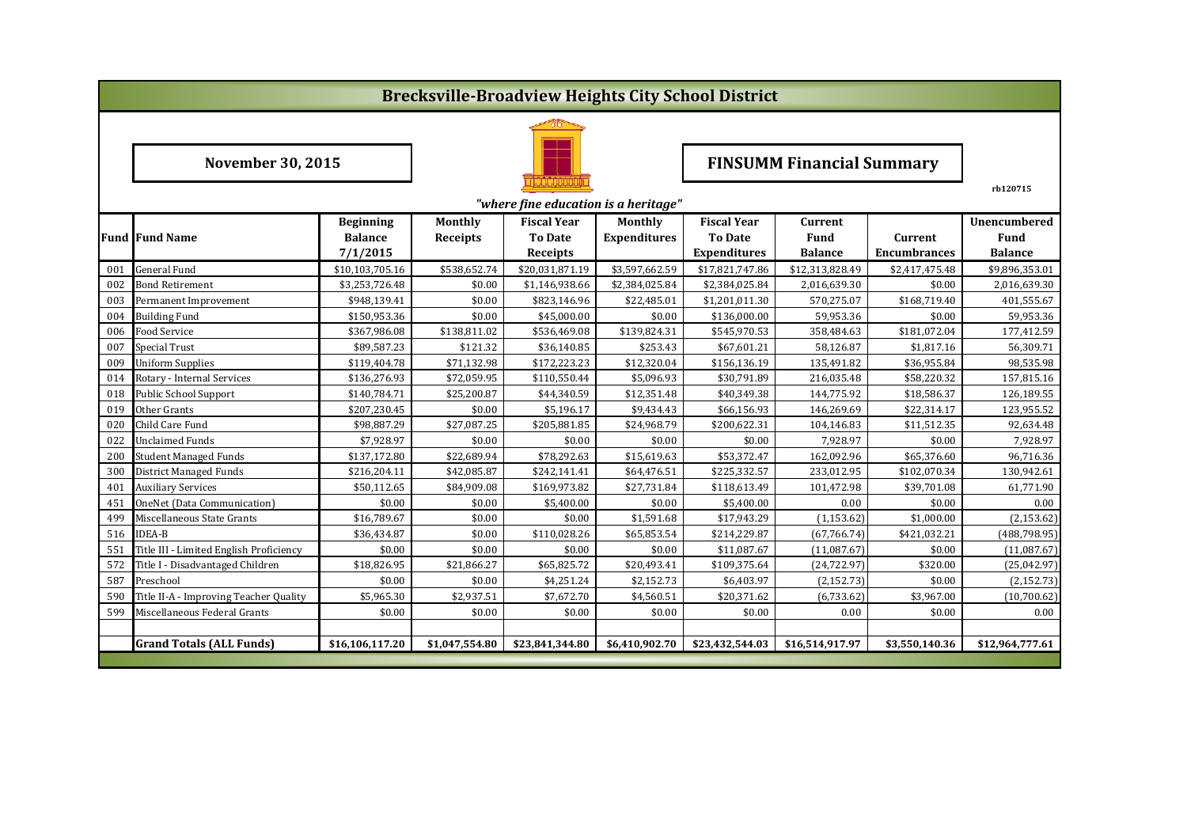|                                      | <b>Brecksville-Broadview Heights City School District</b> |                  |                 |                    |                     |                                  |                 |                     |                     |  |  |
|--------------------------------------|-----------------------------------------------------------|------------------|-----------------|--------------------|---------------------|----------------------------------|-----------------|---------------------|---------------------|--|--|
|                                      |                                                           |                  |                 |                    |                     |                                  |                 |                     |                     |  |  |
|                                      | <b>November 30, 2015</b>                                  |                  |                 |                    |                     | <b>FINSUMM Financial Summary</b> |                 |                     |                     |  |  |
| "where fine education is a heritage" |                                                           |                  |                 |                    |                     |                                  |                 |                     |                     |  |  |
|                                      |                                                           | <b>Beginning</b> | <b>Monthly</b>  | <b>Fiscal Year</b> | Monthly             | <b>Fiscal Year</b>               | <b>Current</b>  |                     | <b>Unencumbered</b> |  |  |
|                                      | <b>Fund Fund Name</b>                                     | <b>Balance</b>   | <b>Receipts</b> | <b>To Date</b>     | <b>Expenditures</b> | <b>To Date</b>                   | Fund            | Current             | Fund                |  |  |
|                                      |                                                           | 7/1/2015         |                 | Receipts           |                     | <b>Expenditures</b>              | <b>Balance</b>  | <b>Encumbrances</b> | <b>Balance</b>      |  |  |
| 001                                  | General Fund                                              | \$10,103,705.16  | \$538,652.74    | \$20,031,871.19    | \$3,597,662.59      | \$17,821,747.86                  | \$12,313,828.49 | \$2,417,475.48      | \$9,896,353.01      |  |  |
| 002                                  | Bond Retirement                                           | \$3,253,726.48   | \$0.00          | \$1,146,938.66     | \$2,384,025.84      | \$2,384,025.84                   | 2,016,639.30    | \$0.00              | 2,016,639.30        |  |  |
| 003                                  | Permanent Improvement                                     | \$948,139.41     | \$0.00          | \$823,146.96       | \$22,485.01         | \$1,201,011.30                   | 570,275.07      | \$168,719.40        | 401,555.67          |  |  |
| 004                                  | <b>Building Fund</b>                                      | \$150,953.36     | \$0.00          | \$45,000.00        | \$0.00              | \$136,000.00                     | 59,953.36       | \$0.00              | 59,953.36           |  |  |
| 006                                  | Food Service                                              | \$367,986.08     | \$138,811.02    | \$536,469.08       | \$139,824.31        | \$545,970.53                     | 358,484.63      | \$181,072.04        | 177,412.59          |  |  |
| 007                                  | <b>Special Trust</b>                                      | \$89,587.23      | \$121.32        | \$36,140.85        | \$253.43            | \$67,601.21                      | 58,126.87       | \$1,817.16          | 56,309.71           |  |  |
| 009                                  | <b>Uniform Supplies</b>                                   | \$119,404.78     | \$71,132.98     | \$172,223.23       | \$12,320.04         | \$156,136.19                     | 135,491.82      | \$36,955.84         | 98,535.98           |  |  |
| 014                                  | Rotary - Internal Services                                | \$136,276.93     | \$72,059.95     | \$110,550.44       | \$5,096.93          | \$30,791.89                      | 216,035.48      | \$58,220.32         | 157,815.16          |  |  |
| 018                                  | Public School Support                                     | \$140,784.71     | \$25,200.87     | \$44,340.59        | \$12,351.48         | \$40,349.38                      | 144,775.92      | \$18,586.37         | 126,189.55          |  |  |
| 019                                  | Other Grants                                              | \$207,230.45     | \$0.00          | \$5,196.17         | \$9,434.43          | \$66,156.93                      | 146,269.69      | \$22,314.17         | 123,955.52          |  |  |
| 020                                  | Child Care Fund                                           | \$98,887.29      | \$27,087.25     | \$205,881.85       | \$24,968.79         | \$200,622.31                     | 104,146.83      | \$11,512.35         | 92,634.48           |  |  |
| 022                                  | Unclaimed Funds                                           | \$7,928.97       | \$0.00          | \$0.00             | \$0.00              | \$0.00                           | 7,928.97        | \$0.00              | 7,928.97            |  |  |
| 200                                  | <b>Student Managed Funds</b>                              | \$137,172.80     | \$22,689.94     | \$78,292.63        | \$15,619.63         | \$53,372.47                      | 162,092.96      | \$65,376.60         | 96,716.36           |  |  |
| 300                                  | District Managed Funds                                    | \$216,204.11     | \$42,085.87     | \$242,141.41       | \$64,476.51         | \$225,332.57                     | 233,012.95      | \$102,070.34        | 130,942.61          |  |  |
| 401                                  | <b>Auxiliary Services</b>                                 | \$50,112.65      | \$84,909.08     | \$169,973.82       | \$27,731.84         | \$118,613.49                     | 101,472.98      | \$39,701.08         | 61,771.90           |  |  |
| 451                                  | OneNet (Data Communication)                               | \$0.00           | \$0.00          | \$5,400.00         | \$0.00              | \$5,400.00                       | 0.00            | \$0.00              | 0.00                |  |  |
| 499                                  | Miscellaneous State Grants                                | \$16,789.67      | \$0.00          | \$0.00             | \$1,591.68          | \$17,943.29                      | (1, 153.62)     | \$1,000.00          | (2, 153.62)         |  |  |
| 516                                  | <b>IDEA-B</b>                                             | \$36,434.87      | \$0.00          | \$110,028.26       | \$65,853.54         | \$214,229.87                     | (67, 766.74)    | \$421,032.21        | (488, 798.95)       |  |  |
| 551                                  | Title III - Limited English Proficiency                   | \$0.00           | \$0.00          | \$0.00             | \$0.00              | \$11,087.67                      | (11,087.67)     | \$0.00              | (11,087.67)         |  |  |
| 572                                  | Title I - Disadvantaged Children                          | \$18,826.95      | \$21,866.27     | \$65,825.72        | \$20,493.41         | \$109,375.64                     | (24, 722.97)    | \$320.00            | (25,042.97)         |  |  |
| 587                                  | Preschool                                                 | \$0.00           | \$0.00          | \$4,251.24         | \$2,152.73          | \$6,403.97                       | (2, 152.73)     | \$0.00              | (2, 152.73)         |  |  |
| 590                                  | Title II-A - Improving Teacher Quality                    | \$5,965.30       | \$2,937.51      | \$7,672.70         | \$4,560.51          | \$20,371.62                      | (6,733.62)      | \$3,967.00          | (10,700.62)         |  |  |
| 599                                  | Miscellaneous Federal Grants                              | \$0.00           | \$0.00          | \$0.00             | \$0.00              | \$0.00                           | 0.00            | \$0.00              | 0.00                |  |  |
|                                      |                                                           |                  |                 |                    |                     |                                  |                 |                     |                     |  |  |
|                                      | <b>Grand Totals (ALL Funds)</b>                           | \$16,106,117.20  | \$1,047,554.80  | \$23,841,344.80    | \$6,410,902.70      | \$23,432,544.03                  | \$16,514,917.97 | \$3,550,140.36      | \$12,964,777.61     |  |  |
|                                      |                                                           |                  |                 |                    |                     |                                  |                 |                     |                     |  |  |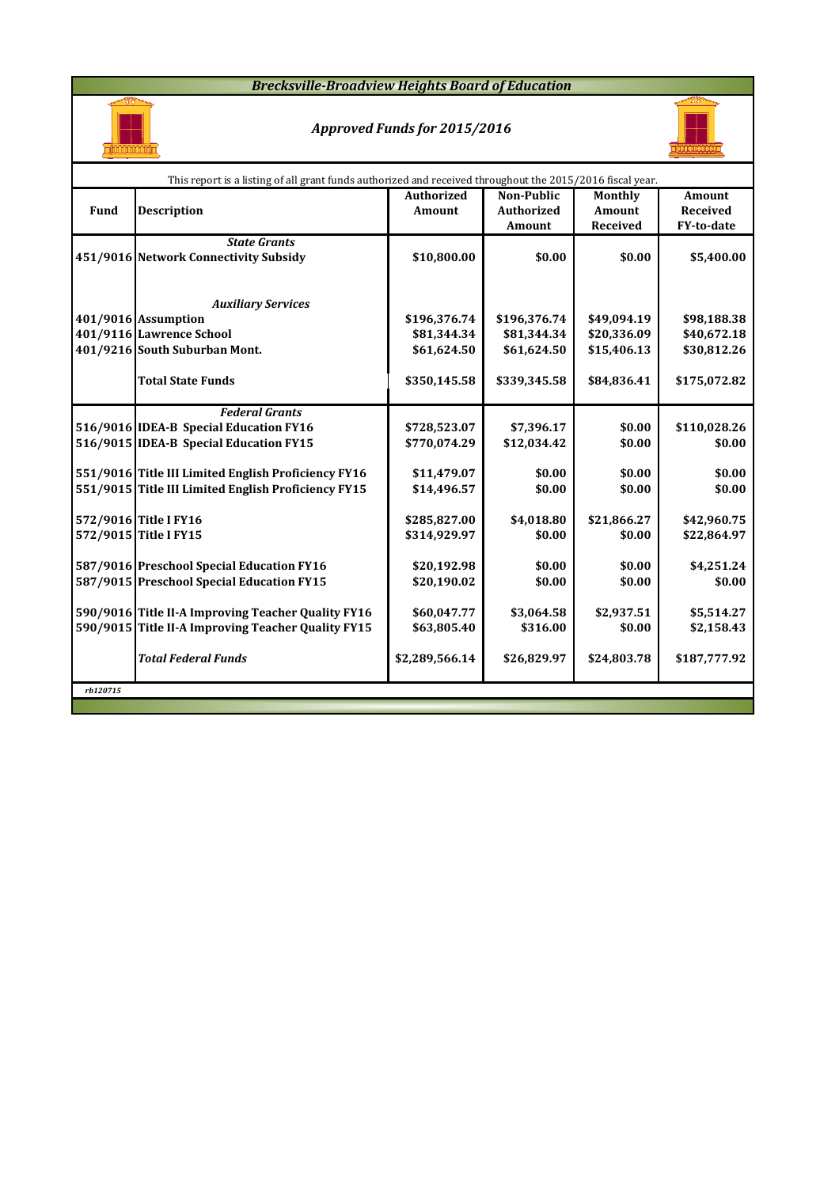#### *Brecksville-Broadview Heights Board of Education*



### *Approved Funds for 2015/2016*



|          | This report is a listing of all grant funds authorized and received throughout the 2015/2016 fiscal year.  |                   |                   |             |                 |  |  |  |  |  |  |
|----------|------------------------------------------------------------------------------------------------------------|-------------------|-------------------|-------------|-----------------|--|--|--|--|--|--|
|          |                                                                                                            | <b>Authorized</b> | <b>Non-Public</b> | Monthly     | <b>Amount</b>   |  |  |  |  |  |  |
| Fund     | <b>Description</b>                                                                                         | Amount            | <b>Authorized</b> | Amount      | <b>Received</b> |  |  |  |  |  |  |
|          |                                                                                                            |                   | <b>Amount</b>     | Received    | FY-to-date      |  |  |  |  |  |  |
|          | <b>State Grants</b>                                                                                        |                   |                   |             |                 |  |  |  |  |  |  |
|          | 451/9016 Network Connectivity Subsidy                                                                      | \$10,800.00       | \$0.00            | \$0.00      | \$5,400.00      |  |  |  |  |  |  |
|          |                                                                                                            |                   |                   |             |                 |  |  |  |  |  |  |
|          |                                                                                                            |                   |                   |             |                 |  |  |  |  |  |  |
|          | <b>Auxiliary Services</b>                                                                                  |                   |                   |             |                 |  |  |  |  |  |  |
|          | 401/9016 Assumption                                                                                        | \$196,376.74      | \$196,376.74      | \$49,094.19 | \$98,188.38     |  |  |  |  |  |  |
|          | 401/9116 Lawrence School                                                                                   | \$81,344.34       | \$81,344.34       | \$20,336.09 | \$40,672.18     |  |  |  |  |  |  |
|          | 401/9216 South Suburban Mont.                                                                              | \$61,624.50       | \$61,624.50       | \$15,406.13 | \$30,812.26     |  |  |  |  |  |  |
|          |                                                                                                            |                   |                   |             |                 |  |  |  |  |  |  |
|          | <b>Total State Funds</b>                                                                                   | \$350,145.58      | \$339,345.58      | \$84,836.41 | \$175,072.82    |  |  |  |  |  |  |
|          |                                                                                                            |                   |                   |             |                 |  |  |  |  |  |  |
|          | <b>Federal Grants</b>                                                                                      |                   |                   |             |                 |  |  |  |  |  |  |
|          | 516/9016 IDEA-B Special Education FY16                                                                     | \$728,523.07      | \$7,396.17        | \$0.00      | \$110,028.26    |  |  |  |  |  |  |
|          | 516/9015 IDEA-B Special Education FY15                                                                     | \$770,074.29      | \$12,034.42       | \$0.00      | \$0.00          |  |  |  |  |  |  |
|          |                                                                                                            |                   |                   |             |                 |  |  |  |  |  |  |
|          | 551/9016 Title III Limited English Proficiency FY16<br>551/9015 Title III Limited English Proficiency FY15 | \$11,479.07       | \$0.00            | \$0.00      | \$0.00          |  |  |  |  |  |  |
|          |                                                                                                            | \$14,496.57       | \$0.00            | \$0.00      | \$0.00          |  |  |  |  |  |  |
|          | 572/9016 Title I FY16                                                                                      | \$285,827.00      | \$4,018.80        | \$21,866.27 | \$42,960.75     |  |  |  |  |  |  |
|          | 572/9015 Title I FY15                                                                                      | \$314,929.97      | \$0.00            | \$0.00      | \$22,864.97     |  |  |  |  |  |  |
|          |                                                                                                            |                   |                   |             |                 |  |  |  |  |  |  |
|          | 587/9016 Preschool Special Education FY16                                                                  | \$20,192.98       | \$0.00            | \$0.00      | \$4,251.24      |  |  |  |  |  |  |
|          | 587/9015 Preschool Special Education FY15                                                                  | \$20,190.02       | \$0.00            | \$0.00      | \$0.00          |  |  |  |  |  |  |
|          |                                                                                                            |                   |                   |             |                 |  |  |  |  |  |  |
|          | 590/9016 Title II-A Improving Teacher Quality FY16                                                         | \$60,047.77       | \$3,064.58        | \$2,937.51  | \$5,514.27      |  |  |  |  |  |  |
|          | 590/9015 Title II-A Improving Teacher Quality FY15                                                         | \$63,805.40       | \$316.00          | \$0.00      | \$2,158.43      |  |  |  |  |  |  |
|          |                                                                                                            |                   |                   |             |                 |  |  |  |  |  |  |
|          | <b>Total Federal Funds</b>                                                                                 | \$2,289,566.14    | \$26,829.97       | \$24,803.78 | \$187,777.92    |  |  |  |  |  |  |
|          |                                                                                                            |                   |                   |             |                 |  |  |  |  |  |  |
| rb120715 |                                                                                                            |                   |                   |             |                 |  |  |  |  |  |  |
|          |                                                                                                            |                   |                   |             |                 |  |  |  |  |  |  |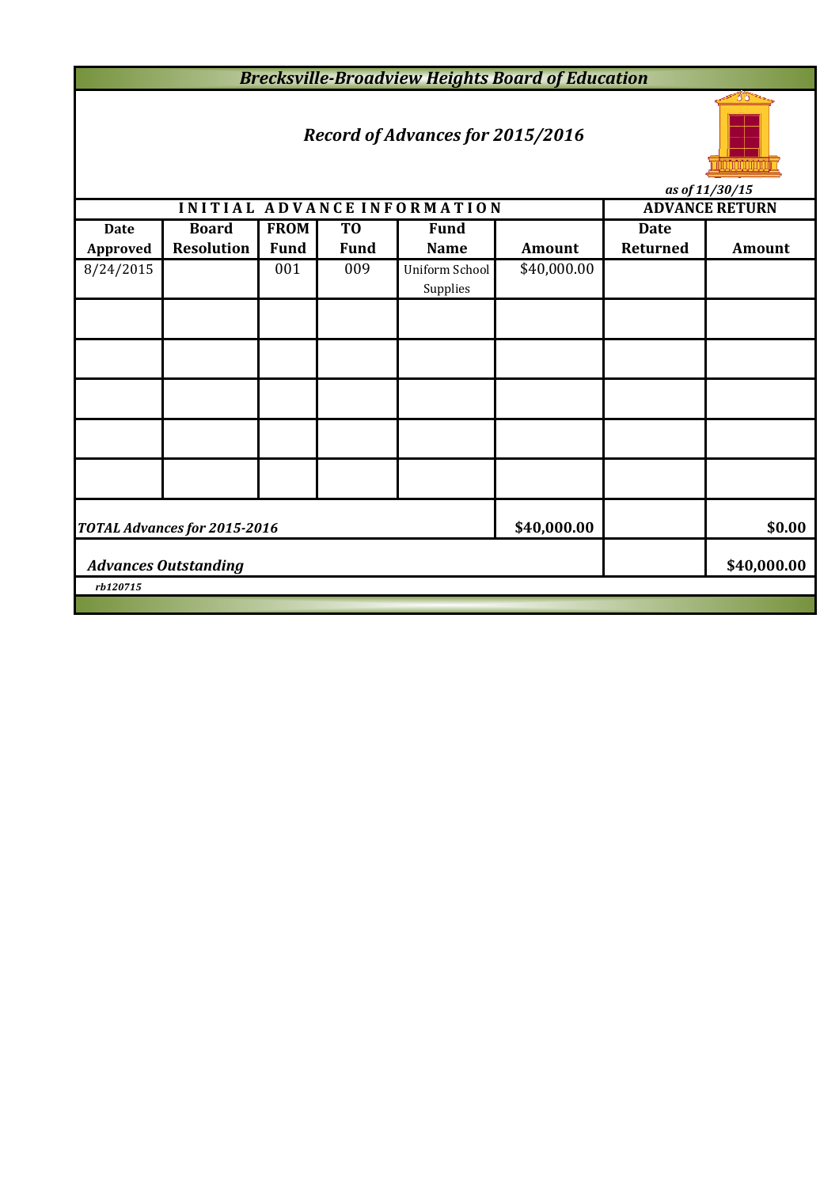*Brecksville-Broadview Heights Board of Education*

# *Record of Advances for 2015/2016*



**INITIAL ADVANCE INFORMATION** ADVANCE RETURN *as of 11/30/15*

| <b>Date</b> | <b>Board</b>                 | <b>FROM</b> | T <sub>0</sub> | <b>Fund</b>    |               | <b>Date</b> |        |  |  |  |
|-------------|------------------------------|-------------|----------------|----------------|---------------|-------------|--------|--|--|--|
| Approved    | <b>Resolution</b>            | <b>Fund</b> | <b>Fund</b>    | <b>Name</b>    | <b>Amount</b> | Returned    | Amount |  |  |  |
| 8/24/2015   |                              | 001         | 009            | Uniform School | \$40,000.00   |             |        |  |  |  |
|             |                              |             |                | Supplies       |               |             |        |  |  |  |
|             |                              |             |                |                |               |             |        |  |  |  |
|             |                              |             |                |                |               |             |        |  |  |  |
|             |                              |             |                |                |               |             |        |  |  |  |
|             |                              |             |                |                |               |             |        |  |  |  |
|             |                              |             |                |                |               |             |        |  |  |  |
|             |                              |             |                |                |               |             |        |  |  |  |
|             |                              |             |                |                |               |             |        |  |  |  |
|             |                              |             |                |                |               |             |        |  |  |  |
|             |                              |             |                |                |               |             |        |  |  |  |
|             |                              |             |                |                |               |             |        |  |  |  |
|             | TOTAL Advances for 2015-2016 |             | \$40,000.00    |                | \$0.00        |             |        |  |  |  |
|             | <b>Advances Outstanding</b>  |             | \$40,000.00    |                |               |             |        |  |  |  |
| rb120715    |                              |             |                |                |               |             |        |  |  |  |
|             |                              |             |                |                |               |             |        |  |  |  |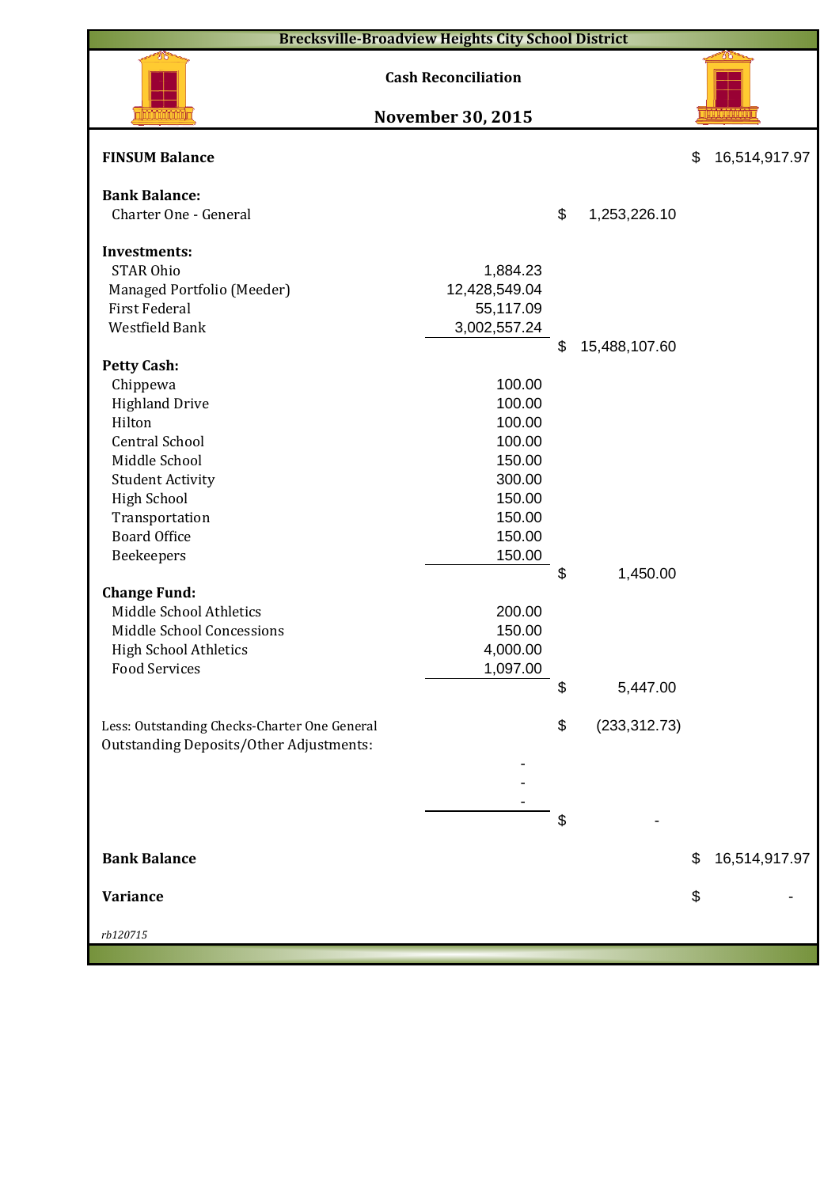| <b>Brecksville-Broadview Heights City School District</b> |                            |    |               |    |               |  |  |  |  |
|-----------------------------------------------------------|----------------------------|----|---------------|----|---------------|--|--|--|--|
|                                                           | <b>Cash Reconciliation</b> |    |               |    |               |  |  |  |  |
|                                                           | <b>November 30, 2015</b>   |    |               |    |               |  |  |  |  |
| <b>FINSUM Balance</b>                                     |                            |    |               | \$ | 16,514,917.97 |  |  |  |  |
| <b>Bank Balance:</b>                                      |                            |    |               |    |               |  |  |  |  |
| Charter One - General                                     |                            | \$ | 1,253,226.10  |    |               |  |  |  |  |
|                                                           |                            |    |               |    |               |  |  |  |  |
| <b>Investments:</b>                                       |                            |    |               |    |               |  |  |  |  |
| <b>STAR Ohio</b>                                          | 1,884.23                   |    |               |    |               |  |  |  |  |
| Managed Portfolio (Meeder)<br><b>First Federal</b>        | 12,428,549.04              |    |               |    |               |  |  |  |  |
|                                                           | 55,117.09                  |    |               |    |               |  |  |  |  |
| Westfield Bank                                            | 3,002,557.24               |    |               |    |               |  |  |  |  |
|                                                           |                            | \$ | 15,488,107.60 |    |               |  |  |  |  |
| <b>Petty Cash:</b>                                        | 100.00                     |    |               |    |               |  |  |  |  |
| Chippewa                                                  |                            |    |               |    |               |  |  |  |  |
| <b>Highland Drive</b>                                     | 100.00                     |    |               |    |               |  |  |  |  |
| Hilton                                                    | 100.00                     |    |               |    |               |  |  |  |  |
| <b>Central School</b>                                     | 100.00                     |    |               |    |               |  |  |  |  |
| Middle School                                             | 150.00                     |    |               |    |               |  |  |  |  |
| <b>Student Activity</b>                                   | 300.00                     |    |               |    |               |  |  |  |  |
| <b>High School</b>                                        | 150.00                     |    |               |    |               |  |  |  |  |
| Transportation                                            | 150.00                     |    |               |    |               |  |  |  |  |
| <b>Board Office</b>                                       | 150.00                     |    |               |    |               |  |  |  |  |
| Beekeepers                                                | 150.00                     |    |               |    |               |  |  |  |  |
|                                                           |                            | \$ | 1,450.00      |    |               |  |  |  |  |
| <b>Change Fund:</b>                                       |                            |    |               |    |               |  |  |  |  |
| Middle School Athletics                                   | 200.00                     |    |               |    |               |  |  |  |  |
| Middle School Concessions                                 | 150.00                     |    |               |    |               |  |  |  |  |
| <b>High School Athletics</b>                              | 4,000.00                   |    |               |    |               |  |  |  |  |
| <b>Food Services</b>                                      | 1,097.00                   |    |               |    |               |  |  |  |  |
|                                                           |                            | \$ | 5,447.00      |    |               |  |  |  |  |
| Less: Outstanding Checks-Charter One General              |                            | \$ | (233, 312.73) |    |               |  |  |  |  |
| <b>Outstanding Deposits/Other Adjustments:</b>            |                            |    |               |    |               |  |  |  |  |
|                                                           |                            |    |               |    |               |  |  |  |  |
|                                                           |                            |    |               |    |               |  |  |  |  |
|                                                           |                            |    |               |    |               |  |  |  |  |
|                                                           |                            | \$ |               |    |               |  |  |  |  |
|                                                           |                            |    |               |    |               |  |  |  |  |
| <b>Bank Balance</b>                                       |                            |    |               | \$ | 16,514,917.97 |  |  |  |  |
|                                                           |                            |    |               |    |               |  |  |  |  |
| Variance                                                  |                            |    |               | \$ |               |  |  |  |  |
|                                                           |                            |    |               |    |               |  |  |  |  |
| rb120715                                                  |                            |    |               |    |               |  |  |  |  |
|                                                           |                            |    |               |    |               |  |  |  |  |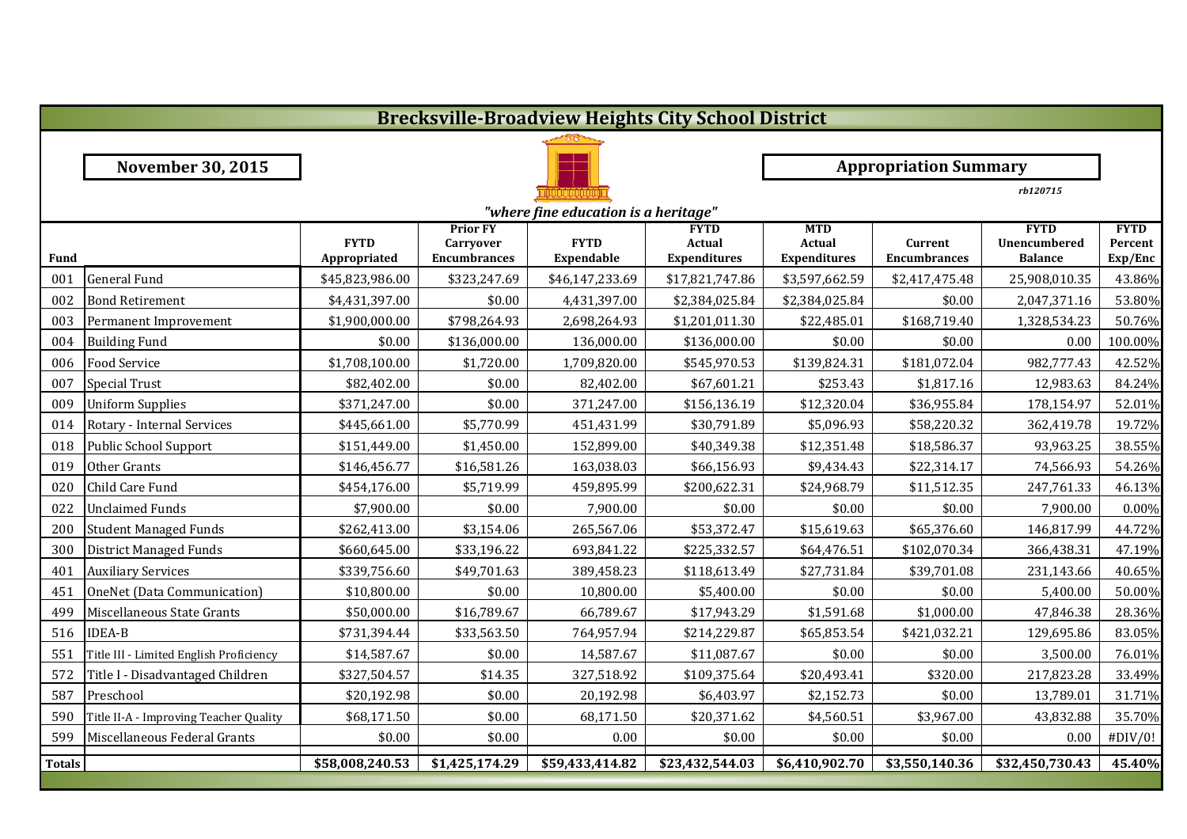|               | <b>Brecksville-Broadview Heights City School District</b> |                             |                                                            |                                  |                                              |                                                    |                                |                                                      |                                   |  |  |  |
|---------------|-----------------------------------------------------------|-----------------------------|------------------------------------------------------------|----------------------------------|----------------------------------------------|----------------------------------------------------|--------------------------------|------------------------------------------------------|-----------------------------------|--|--|--|
|               |                                                           |                             |                                                            |                                  |                                              |                                                    |                                |                                                      |                                   |  |  |  |
|               | <b>November 30, 2015</b>                                  |                             | <b>Appropriation Summary</b>                               |                                  |                                              |                                                    |                                |                                                      |                                   |  |  |  |
|               |                                                           |                             |                                                            |                                  |                                              | rb120715                                           |                                |                                                      |                                   |  |  |  |
|               | "where fine education is a heritage"                      |                             |                                                            |                                  |                                              |                                                    |                                |                                                      |                                   |  |  |  |
| Fund          |                                                           | <b>FYTD</b><br>Appropriated | <b>Prior FY</b><br><b>Carryover</b><br><b>Encumbrances</b> | <b>FYTD</b><br><b>Expendable</b> | <b>FYTD</b><br>Actual<br><b>Expenditures</b> | <b>MTD</b><br><b>Actual</b><br><b>Expenditures</b> | Current<br><b>Encumbrances</b> | <b>FYTD</b><br><b>Unencumbered</b><br><b>Balance</b> | <b>FYTD</b><br>Percent<br>Exp/Enc |  |  |  |
| 001           | <b>General Fund</b>                                       | \$45,823,986.00             | \$323,247.69                                               | \$46,147,233.69                  | \$17,821,747.86                              | \$3,597,662.59                                     | \$2,417,475.48                 | 25,908,010.35                                        | 43.86%                            |  |  |  |
| 002           | <b>Bond Retirement</b>                                    | \$4,431,397.00              | \$0.00                                                     | 4,431,397.00                     | \$2,384,025.84                               | \$2,384,025.84                                     | \$0.00                         | 2,047,371.16                                         | 53.80%                            |  |  |  |
| 003           | Permanent Improvement                                     | \$1,900,000.00              | \$798,264.93                                               | 2,698,264.93                     | \$1,201,011.30                               | \$22,485.01                                        | \$168,719.40                   | 1,328,534.23                                         | 50.76%                            |  |  |  |
| 004           | <b>Building Fund</b>                                      | \$0.00                      | \$136,000.00                                               | 136,000.00                       | \$136,000.00                                 | \$0.00                                             | \$0.00                         | 0.00                                                 | 100.00%                           |  |  |  |
| 006           | <b>Food Service</b>                                       | \$1,708,100.00              | \$1,720.00                                                 | 1,709,820.00                     | \$545,970.53                                 | \$139,824.31                                       | \$181,072.04                   | 982,777.43                                           | 42.52%                            |  |  |  |
| 007           | <b>Special Trust</b>                                      | \$82,402.00                 | \$0.00                                                     | 82,402.00                        | \$67,601.21                                  | \$253.43                                           | \$1,817.16                     | 12,983.63                                            | 84.24%                            |  |  |  |
| 009           | <b>Uniform Supplies</b>                                   | \$371,247.00                | \$0.00                                                     | 371,247.00                       | \$156,136.19                                 | \$12,320.04                                        | \$36,955.84                    | 178,154.97                                           | 52.01%                            |  |  |  |
| 014           | Rotary - Internal Services                                | \$445,661.00                | \$5,770.99                                                 | 451,431.99                       | \$30,791.89                                  | \$5,096.93                                         | \$58,220.32                    | 362,419.78                                           | 19.72%                            |  |  |  |
| 018           | Public School Support                                     | \$151,449.00                | \$1,450.00                                                 | 152,899.00                       | \$40,349.38                                  | \$12,351.48                                        | \$18,586.37                    | 93,963.25                                            | 38.55%                            |  |  |  |
| 019           | Other Grants                                              | \$146,456.77                | \$16,581.26                                                | 163,038.03                       | \$66,156.93                                  | \$9,434.43                                         | \$22,314.17                    | 74,566.93                                            | 54.26%                            |  |  |  |
| 020           | Child Care Fund                                           | \$454,176.00                | \$5,719.99                                                 | 459,895.99                       | \$200,622.31                                 | \$24,968.79                                        | \$11,512.35                    | 247,761.33                                           | 46.13%                            |  |  |  |
| 022           | <b>Unclaimed Funds</b>                                    | \$7,900.00                  | \$0.00                                                     | 7,900.00                         | \$0.00                                       | \$0.00                                             | \$0.00                         | 7,900.00                                             | 0.00%                             |  |  |  |
| 200           | <b>Student Managed Funds</b>                              | \$262,413.00                | \$3,154.06                                                 | 265,567.06                       | \$53,372.47                                  | \$15,619.63                                        | \$65,376.60                    | 146,817.99                                           | 44.72%                            |  |  |  |
| 300           | District Managed Funds                                    | \$660,645.00                | \$33,196.22                                                | 693,841.22                       | \$225,332.57                                 | \$64,476.51                                        | \$102,070.34                   | 366,438.31                                           | 47.19%                            |  |  |  |
| 401           | <b>Auxiliary Services</b>                                 | \$339,756.60                | \$49,701.63                                                | 389,458.23                       | \$118,613.49                                 | \$27,731.84                                        | \$39,701.08                    | 231,143.66                                           | 40.65%                            |  |  |  |
| 451           | OneNet (Data Communication)                               | \$10,800.00                 | \$0.00                                                     | 10,800.00                        | \$5,400.00                                   | \$0.00                                             | \$0.00                         | 5,400.00                                             | 50.00%                            |  |  |  |
| 499           | Miscellaneous State Grants                                | \$50,000.00                 | \$16,789.67                                                | 66,789.67                        | \$17,943.29                                  | \$1,591.68                                         | \$1,000.00                     | 47,846.38                                            | 28.36%                            |  |  |  |
| 516           | <b>IDEA-B</b>                                             | \$731,394.44                | \$33,563.50                                                | 764,957.94                       | \$214,229.87                                 | \$65,853.54                                        | \$421,032.21                   | 129,695.86                                           | 83.05%                            |  |  |  |
| 551           | Title III - Limited English Proficiency                   | \$14,587.67                 | \$0.00                                                     | 14,587.67                        | \$11,087.67                                  | \$0.00                                             | \$0.00                         | 3,500.00                                             | 76.01%                            |  |  |  |
| 572           | Title I - Disadvantaged Children                          | \$327,504.57                | \$14.35                                                    | 327,518.92                       | \$109,375.64                                 | \$20,493.41                                        | \$320.00                       | 217,823.28                                           | 33.49%                            |  |  |  |
| 587           | Preschool                                                 | \$20,192.98                 | \$0.00                                                     | 20,192.98                        | \$6,403.97                                   | \$2,152.73                                         | \$0.00                         | 13,789.01                                            | 31.71%                            |  |  |  |
| 590           | Title II-A - Improving Teacher Quality                    | \$68,171.50                 | \$0.00                                                     | 68,171.50                        | \$20,371.62                                  | \$4,560.51                                         | \$3,967.00                     | 43,832.88                                            | 35.70%                            |  |  |  |
| 599           | Miscellaneous Federal Grants                              | \$0.00                      | \$0.00                                                     | 0.00                             | \$0.00                                       | \$0.00                                             | \$0.00                         | 0.00                                                 | #DIV/0!                           |  |  |  |
| <b>Totals</b> |                                                           | \$58,008,240.53             | \$1,425,174.29                                             | \$59,433,414.82                  | \$23,432,544.03                              | \$6,410,902.70                                     | \$3,550,140.36                 | \$32,450,730.43                                      | 45.40%                            |  |  |  |